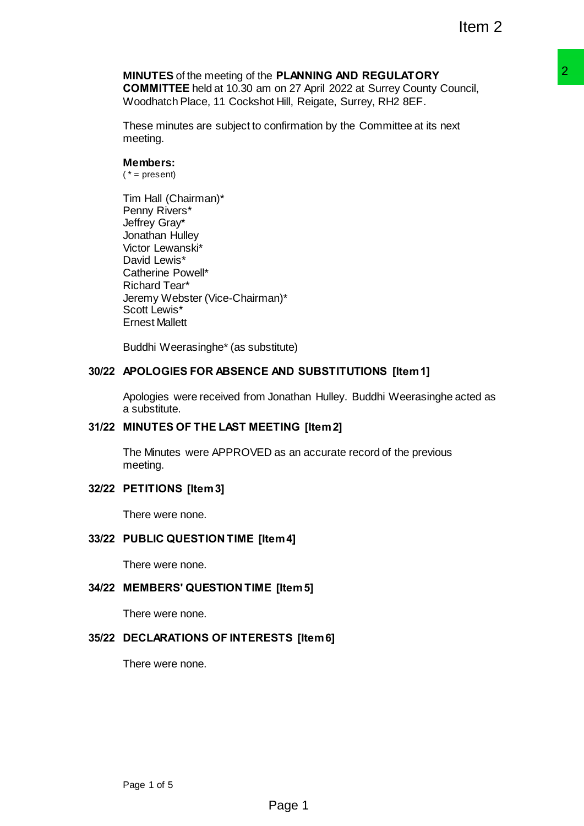# **MINUTES** of the meeting of the **PLANNING AND REGULATORY**

**COMMITTEE** held at 10.30 am on 27 April 2022 at Surrey County Council, Woodhatch Place, 11 Cockshot Hill, Reigate, Surrey, RH2 8EF.

These minutes are subject to confirmation by the Committee at its next meeting.

## **Members:**

 $(* = present)$ 

Tim Hall (Chairman)\* Penny Rivers\* Jeffrey Gray\* Jonathan Hulley Victor Lewanski\* David Lewis\* Catherine Powell\* Richard Tear\* Jeremy Webster (Vice-Chairman)\* Scott Lewis\* Ernest Mallett

Buddhi Weerasinghe\* (as substitute)

## **30/22 APOLOGIES FOR ABSENCE AND SUBSTITUTIONS [Item 1]**

Apologies were received from Jonathan Hulley. Buddhi Weerasinghe acted as a substitute. **P PLANING AND REGULAT ORY**  $\overline{P}$  **PLANING AND REGULAT ORY Council,<br>
on or 27 April 2022 at Surrey County Council,<br>
then Register, Surrey, RH2 8EF.<br>
confirmation by the Committee at its next<br>
stitute)<br>
AND SUBSTITUTIONS [** 

## **31/22 MINUTES OF THE LAST MEETING [Item 2]**

The Minutes were APPROVED as an accurate record of the previous meeting.

## **32/22 PETITIONS [Item 3]**

There were none.

## **33/22 PUBLIC QUESTION TIME [Item 4]**

There were none.

#### **34/22 MEMBERS' QUESTION TIME [Item 5]**

There were none.

#### **35/22 DECLARATIONS OF INTERESTS [Item 6]**

There were none.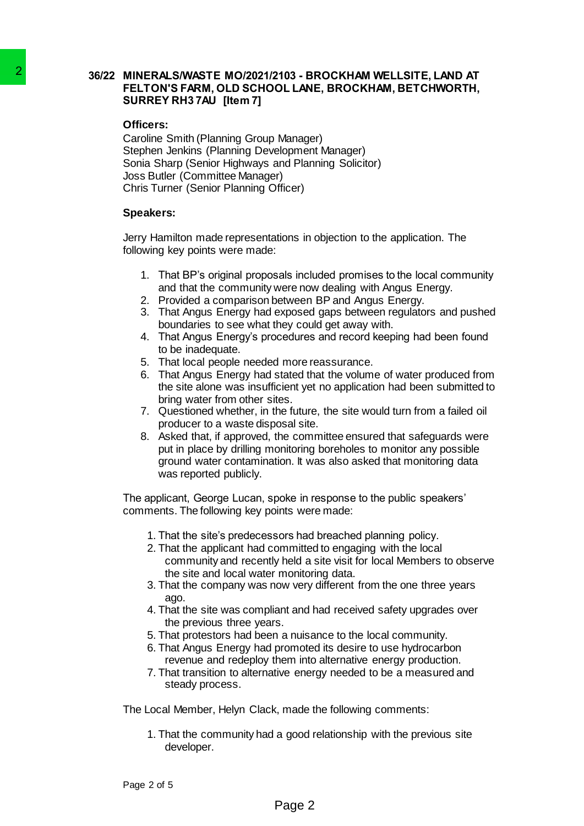## **36/22 MINERALS/WASTE MO/2021/2103 - BROCKHAM WELLSITE, LAND AT FELTON'S FARM, OLD SCHOOL LANE, BROCKHAM, BETCHWORTH, SURREY RH3 7AU [Item 7]**

#### **Officers:**

Caroline Smith (Planning Group Manager) Stephen Jenkins (Planning Development Manager) Sonia Sharp (Senior Highways and Planning Solicitor) Joss Butler (Committee Manager) Chris Turner (Senior Planning Officer) 2<br>
INTERNATION STAND (10/2021/2103 - BELTON'S FARM OUD SCHOOL LAN<br>
SURREY RH3 7AU [Item 7]<br>
Officers:<br>
Caroline Smith (Planning Group Manage<br>
Siephen Jenhians (Planning Group Manage<br>
Siephen Jenhians (Planning Development

#### **Speakers:**

Jerry Hamilton made representations in objection to the application. The following key points were made:

- 1. That BP's original proposals included promises to the local community and that the community were now dealing with Angus Energy.
- 2. Provided a comparison between BP and Angus Energy.
- 3. That Angus Energy had exposed gaps between regulators and pushed boundaries to see what they could get away with.
- 4. That Angus Energy's procedures and record keeping had been found to be inadequate.
- 5. That local people needed more reassurance.
- 6. That Angus Energy had stated that the volume of water produced from the site alone was insufficient yet no application had been submitted to bring water from other sites.
- 7. Questioned whether, in the future, the site would turn from a failed oil producer to a waste disposal site.
- 8. Asked that, if approved, the committee ensured that safeguards were put in place by drilling monitoring boreholes to monitor any possible ground water contamination. It was also asked that monitoring data was reported publicly.

The applicant, George Lucan, spoke in response to the public speakers' comments. The following key points were made:

- 1. That the site's predecessors had breached planning policy.
- 2. That the applicant had committed to engaging with the local community and recently held a site visit for local Members to observe the site and local water monitoring data.
- 3. That the company was now very different from the one three years ago.
- 4. That the site was compliant and had received safety upgrades over the previous three years.
- 5. That protestors had been a nuisance to the local community.
- 6. That Angus Energy had promoted its desire to use hydrocarbon revenue and redeploy them into alternative energy production.
- 7. That transition to alternative energy needed to be a measured and steady process.

The Local Member, Helyn Clack, made the following comments:

1. That the community had a good relationship with the previous site developer.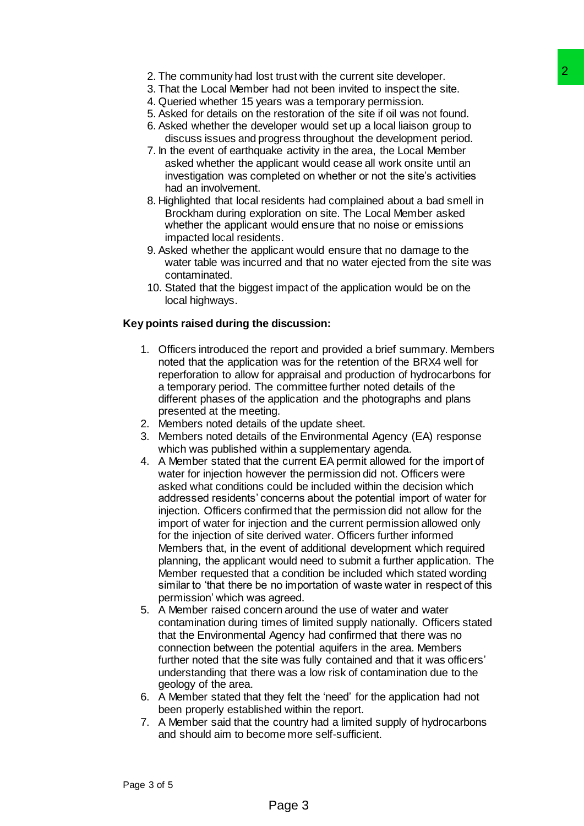- 2. The community had lost trust with the current site developer.
- 3. That the Local Member had not been invited to inspect the site.
- 4. Queried whether 15 years was a temporary permission.
- 5. Asked for details on the restoration of the site if oil was not found.
- 6. Asked whether the developer would set up a local liaison group to discuss issues and progress throughout the development period.
- 7. In the event of earthquake activity in the area, the Local Member asked whether the applicant would cease all work onsite until an investigation was completed on whether or not the site's activities had an involvement.
- 8. Highlighted that local residents had complained about a bad smell in Brockham during exploration on site. The Local Member asked whether the applicant would ensure that no noise or emissions impacted local residents.
- 9. Asked whether the applicant would ensure that no damage to the water table was incurred and that no water ejected from the site was contaminated.
- 10. Stated that the biggest impact of the application would be on the local highways.

## **Key points raised during the discussion:**

- 1. Officers introduced the report and provided a brief summary. Members noted that the application was for the retention of the BRX4 well for reperforation to allow for appraisal and production of hydrocarbons for a temporary period. The committee further noted details of the different phases of the application and the photographs and plans presented at the meeting.
- 2. Members noted details of the update sheet.
- 3. Members noted details of the Environmental Agency (EA) response which was published within a supplementary agenda.
- 4. A Member stated that the current EA permit allowed for the import of water for injection however the permission did not. Officers were asked what conditions could be included within the decision which addressed residents' concerns about the potential import of water for injection. Officers confirmed that the permission did not allow for the import of water for injection and the current permission allowed only for the injection of site derived water. Officers further informed Members that, in the event of additional development which required planning, the applicant would need to submit a further application. The Member requested that a condition be included which stated wording similar to 'that there be no importation of waste water in respect of this permission' which was agreed. trust with the current site developer.<br>
That trust with the current stries developer site.<br>
The stars as temporary permission.<br>
The restoration of the site if oil was not found.<br>
Since restoration of the site if oil was no
- 5. A Member raised concern around the use of water and water contamination during times of limited supply nationally. Officers stated that the Environmental Agency had confirmed that there was no connection between the potential aquifers in the area. Members further noted that the site was fully contained and that it was officers' understanding that there was a low risk of contamination due to the geology of the area.
- 6. A Member stated that they felt the 'need' for the application had not been properly established within the report.
- 7. A Member said that the country had a limited supply of hydrocarbons and should aim to become more self-sufficient.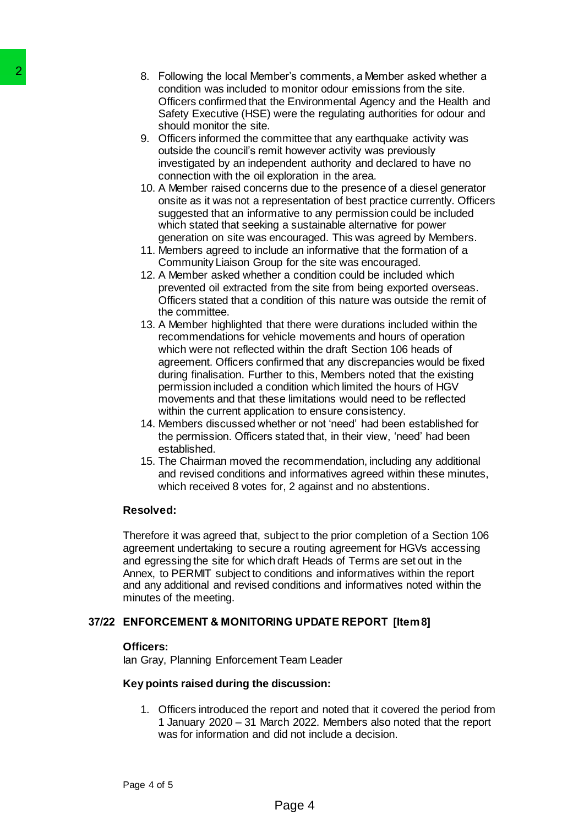- 8. Following the local Member's comments, a Member asked whether a condition was included to monitor odour emissions from the site. Officers confirmed that the Environmental Agency and the Health and Safety Executive (HSE) were the regulating authorities for odour and should monitor the site.
- 9. Officers informed the committee that any earthquake activity was outside the council's remit however activity was previously investigated by an independent authority and declared to have no connection with the oil exploration in the area.
- 10. A Member raised concerns due to the presence of a diesel generator onsite as it was not a representation of best practice currently. Officers suggested that an informative to any permission could be included which stated that seeking a sustainable alternative for power generation on site was encouraged. This was agreed by Members.
- 11. Members agreed to include an informative that the formation of a Community Liaison Group for the site was encouraged.
- 12. A Member asked whether a condition could be included which prevented oil extracted from the site from being exported overseas. Officers stated that a condition of this nature was outside the remit of the committee.
- 13. A Member highlighted that there were durations included within the recommendations for vehicle movements and hours of operation which were not reflected within the draft Section 106 heads of agreement. Officers confirmed that any discrepancies would be fixed during finalisation. Further to this, Members noted that the existing permission included a condition which limited the hours of HGV movements and that these limitations would need to be reflected within the current application to ensure consistency. 2<br>
8. Condition was included to monitology and the collar Members's condition was included to monitology officers confirmed that the Environment of the site.<br>
Sidely Executive (HSE) were the site officers informed that the
	- 14. Members discussed whether or not 'need' had been established for the permission. Officers stated that, in their view, 'need' had been established.
	- 15. The Chairman moved the recommendation, including any additional and revised conditions and informatives agreed within these minutes, which received 8 votes for, 2 against and no abstentions.

## **Resolved:**

Therefore it was agreed that, subject to the prior completion of a Section 106 agreement undertaking to secure a routing agreement for HGVs accessing and egressing the site for which draft Heads of Terms are set out in the Annex, to PERMIT subject to conditions and informatives within the report and any additional and revised conditions and informatives noted within the minutes of the meeting.

## **37/22 ENFORCEMENT & MONITORING UPDATE REPORT [Item 8]**

#### **Officers:**

Ian Gray, Planning Enforcement Team Leader

## **Key points raised during the discussion:**

1. Officers introduced the report and noted that it covered the period from 1 January 2020 – 31 March 2022. Members also noted that the report was for information and did not include a decision.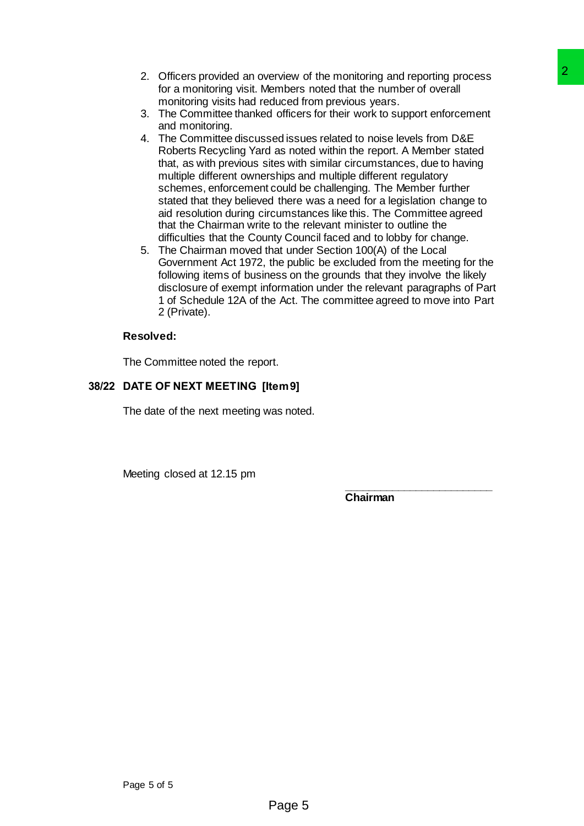- 2. Officers provided an overview of the monitoring and reporting process for a monitoring visit. Members noted that the number of overall monitoring visits had reduced from previous years.
- 3. The Committee thanked officers for their work to support enforcement and monitoring.
- 4. The Committee discussed issues related to noise levels from D&E Roberts Recycling Yard as noted within the report. A Member stated that, as with previous sites with similar circumstances, due to having multiple different ownerships and multiple different regulatory schemes, enforcement could be challenging. The Member further stated that they believed there was a need for a legislation change to aid resolution during circumstances like this. The Committee agreed that the Chairman write to the relevant minister to outline the difficulties that the County Council faced and to lobby for change. erview of the monitoring and reporting process<br>
embers noted that the number of overall<br>
duced from previous years.<br>
duced from previous years.<br>
ed differes for their work to support enforcement<br>
sed issues related to nois
- 5. The Chairman moved that under Section 100(A) of the Local Government Act 1972, the public be excluded from the meeting for the following items of business on the grounds that they involve the likely disclosure of exempt information under the relevant paragraphs of Part 1 of Schedule 12A of the Act. The committee agreed to move into Part 2 (Private).

## **Resolved:**

The Committee noted the report.

## **38/22 DATE OF NEXT MEETING [Item 9]**

The date of the next meeting was noted.

Meeting closed at 12.15 pm

**\_\_\_\_\_\_\_\_\_\_\_\_\_\_\_\_\_\_\_\_\_\_\_\_\_ Chairman**